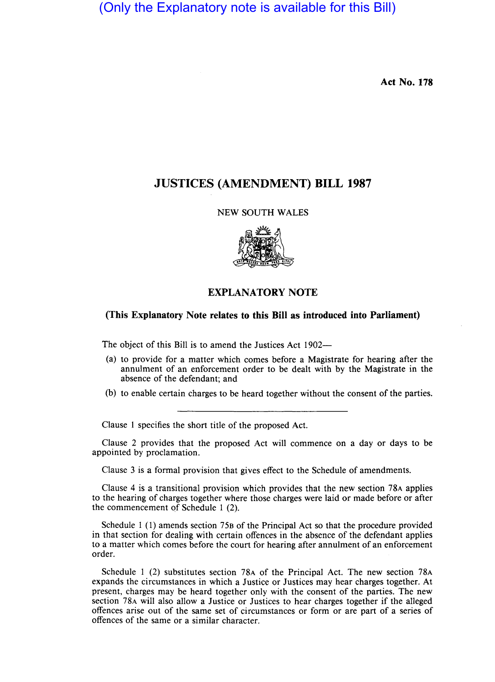(Only the Explanatory note is available for this Bill)

**Act No. 178** 

## **JUSTICES (AMENDMENT) BILL 1987**

## NEW SOUTH WALES



## **EXPLANATORY NOTE**

## **(This Explanatory Note relates to this Bill as introduced into Parliament)**

The object of this Bill is to amend the Justices Act 1902-

- (a) to provide for a matter which comes before a Magistrate for hearing after the annulment of an enforcement order to be dealt with by the Magistrate in the absence of the defendant; and
- (b) to enable certain charges to be heard together without the consent of the parties.

Clause 1 specifies the short title of the proposed Act.

Clause 2 provides that the proposed Act will commence on a day or days to be appointed by proclamation.

Clause 3 is a formal provision that gives effect to the Schedule of amendments.

Clause 4 is a transitional provision which provides that the new section 78A applies to the hearing of charges together where those charges were laid or made before or after the commencement of Schedule 1 (2).

Schedule 1 (1) amends section 75B of the Principal Act so that the procedure provided in that section for dealing with certain offences in the absence of the defendant applies to a matter which comes before the court for hearing after annulment of an enforcement order.

Schedule I (2) substitutes section 78A of the Principal Act. The new section 78A expands the circumstances in which a Justice or Justices may hear charges together. At present, charges may be heard together only with the consent of the parties. The new section 78A will also allow a Justice or Justices to hear charges together if the alleged offences arise out of the same set of circumstances or form or are part of a series of offences of the same or a similar character.